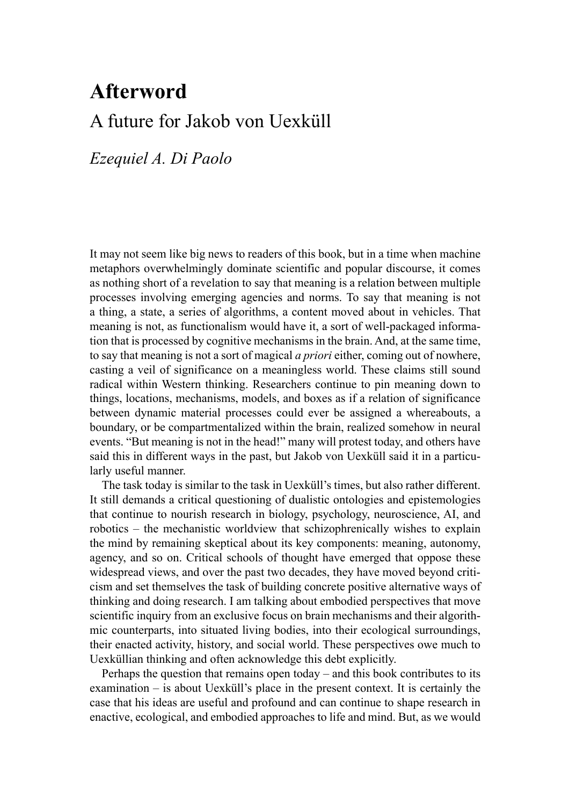## **Afterword**

## A future for Jakob von Uexküll

 *Ezequiel A. Di Paolo* 

 It may not seem like big news to readers of this book, but in a time when machine metaphors overwhelmingly dominate scientific and popular discourse, it comes as nothing short of a revelation to say that meaning is a relation between multiple processes involving emerging agencies and norms. To say that meaning is not a thing, a state, a series of algorithms, a content moved about in vehicles. That meaning is not, as functionalism would have it, a sort of well-packaged information that is processed by cognitive mechanisms in the brain. And, at the same time, to say that meaning is not a sort of magical *a priori* either, coming out of nowhere, casting a veil of significance on a meaningless world. These claims still sound radical within Western thinking. Researchers continue to pin meaning down to things, locations, mechanisms, models, and boxes as if a relation of significance between dynamic material processes could ever be assigned a whereabouts, a boundary, or be compartmentalized within the brain, realized somehow in neural events. "But meaning is not in the head!" many will protest today, and others have said this in different ways in the past, but Jakob von Uexküll said it in a particularly useful manner.

 The task today is similar to the task in Uexküll's times, but also rather different. It still demands a critical questioning of dualistic ontologies and epistemologies that continue to nourish research in biology, psychology, neuroscience, AI, and robotics – the mechanistic worldview that schizophrenically wishes to explain the mind by remaining skeptical about its key components: meaning, autonomy, agency, and so on. Critical schools of thought have emerged that oppose these widespread views, and over the past two decades, they have moved beyond criticism and set themselves the task of building concrete positive alternative ways of thinking and doing research. I am talking about embodied perspectives that move scientific inquiry from an exclusive focus on brain mechanisms and their algorithmic counterparts, into situated living bodies, into their ecological surroundings, their enacted activity, history, and social world. These perspectives owe much to Uexküllian thinking and often acknowledge this debt explicitly.

 Perhaps the question that remains open today – and this book contributes to its examination – is about Uexküll's place in the present context. It is certainly the case that his ideas are useful and profound and can continue to shape research in enactive, ecological, and embodied approaches to life and mind. But, as we would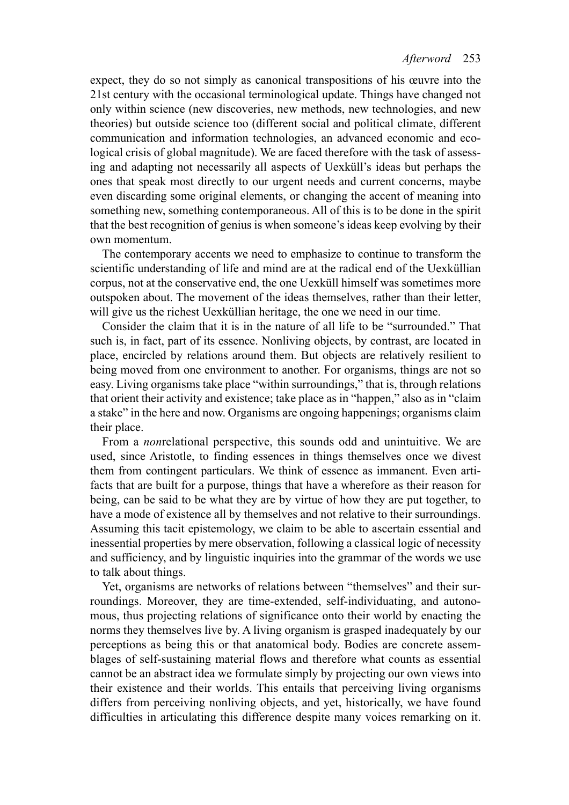expect, they do so not simply as canonical transpositions of his œuvre into the 21st century with the occasional terminological update. Things have changed not only within science (new discoveries, new methods, new technologies, and new theories) but outside science too (different social and political climate, different communication and information technologies, an advanced economic and ecological crisis of global magnitude). We are faced therefore with the task of assessing and adapting not necessarily all aspects of Uexküll's ideas but perhaps the ones that speak most directly to our urgent needs and current concerns, maybe even discarding some original elements, or changing the accent of meaning into something new, something contemporaneous. All of this is to be done in the spirit that the best recognition of genius is when someone's ideas keep evolving by their own momentum.

 The contemporary accents we need to emphasize to continue to transform the scientific understanding of life and mind are at the radical end of the Uexküllian corpus, not at the conservative end, the one Uexküll himself was sometimes more outspoken about. The movement of the ideas themselves, rather than their letter, will give us the richest Uexküllian heritage, the one we need in our time.

 Consider the claim that it is in the nature of all life to be "surrounded." That such is, in fact, part of its essence. Nonliving objects, by contrast, are located in place, encircled by relations around them. But objects are relatively resilient to being moved from one environment to another. For organisms, things are not so easy. Living organisms take place "within surroundings," that is, through relations that orient their activity and existence; take place as in "happen," also as in "claim a stake" in the here and now. Organisms are ongoing happenings; organisms claim their place.

From a *non* relational perspective, this sounds odd and unintuitive. We are used, since Aristotle, to finding essences in things themselves once we divest them from contingent particulars. We think of essence as immanent. Even artifacts that are built for a purpose, things that have a wherefore as their reason for being, can be said to be what they are by virtue of how they are put together, to have a mode of existence all by themselves and not relative to their surroundings. Assuming this tacit epistemology, we claim to be able to ascertain essential and inessential properties by mere observation, following a classical logic of necessity and sufficiency, and by linguistic inquiries into the grammar of the words we use to talk about things.

 Yet, organisms are networks of relations between "themselves" and their surroundings. Moreover, they are time-extended, self-individuating, and autonomous, thus projecting relations of significance onto their world by enacting the norms they themselves live by. A living organism is grasped inadequately by our perceptions as being this or that anatomical body. Bodies are concrete assemblages of self-sustaining material flows and therefore what counts as essential cannot be an abstract idea we formulate simply by projecting our own views into their existence and their worlds. This entails that perceiving living organisms differs from perceiving nonliving objects, and yet, historically, we have found difficulties in articulating this difference despite many voices remarking on it.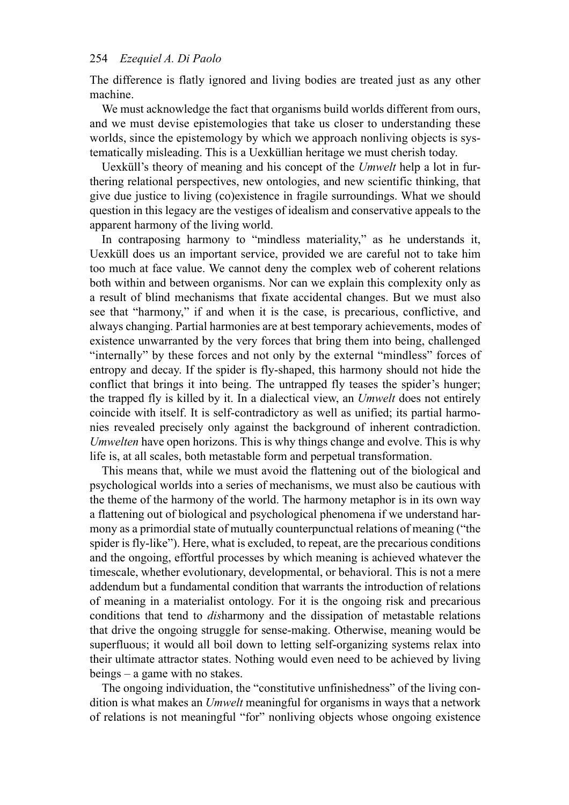The difference is flatly ignored and living bodies are treated just as any other machine.

 We must acknowledge the fact that organisms build worlds different from ours, and we must devise epistemologies that take us closer to understanding these worlds, since the epistemology by which we approach nonliving objects is systematically misleading. This is a Uexküllian heritage we must cherish today.

 Uexküll's theory of meaning and his concept of the *Umwelt* help a lot in furthering relational perspectives, new ontologies, and new scientific thinking, that give due justice to living (co)existence in fragile surroundings. What we should question in this legacy are the vestiges of idealism and conservative appeals to the apparent harmony of the living world.

 In contraposing harmony to "mindless materiality," as he understands it, Uexküll does us an important service, provided we are careful not to take him too much at face value. We cannot deny the complex web of coherent relations both within and between organisms. Nor can we explain this complexity only as a result of blind mechanisms that fixate accidental changes. But we must also see that "harmony," if and when it is the case, is precarious, conflictive, and always changing. Partial harmonies are at best temporary achievements, modes of existence unwarranted by the very forces that bring them into being, challenged "internally" by these forces and not only by the external "mindless" forces of entropy and decay. If the spider is fly-shaped, this harmony should not hide the conflict that brings it into being. The untrapped fly teases the spider's hunger; the trapped fly is killed by it. In a dialectical view, an *Umwelt* does not entirely coincide with itself. It is self-contradictory as well as unified; its partial harmonies revealed precisely only against the background of inherent contradiction. *Umwelten* have open horizons. This is why things change and evolve. This is why life is, at all scales, both metastable form and perpetual transformation.

 This means that, while we must avoid the flattening out of the biological and psychological worlds into a series of mechanisms, we must also be cautious with the theme of the harmony of the world. The harmony metaphor is in its own way a flattening out of biological and psychological phenomena if we understand harmony as a primordial state of mutually counterpunctual relations of meaning ("the spider is fly-like"). Here, what is excluded, to repeat, are the precarious conditions and the ongoing, effortful processes by which meaning is achieved whatever the timescale, whether evolutionary, developmental, or behavioral. This is not a mere addendum but a fundamental condition that warrants the introduction of relations of meaning in a materialist ontology. For it is the ongoing risk and precarious conditions that tend to *dis* harmony and the dissipation of metastable relations that drive the ongoing struggle for sense-making. Otherwise, meaning would be superfluous; it would all boil down to letting self-organizing systems relax into their ultimate attractor states. Nothing would even need to be achieved by living beings – a game with no stakes.

 The ongoing individuation, the "constitutive unfinishedness" of the living condition is what makes an *Umwelt* meaningful for organisms in ways that a network of relations is not meaningful "for" nonliving objects whose ongoing existence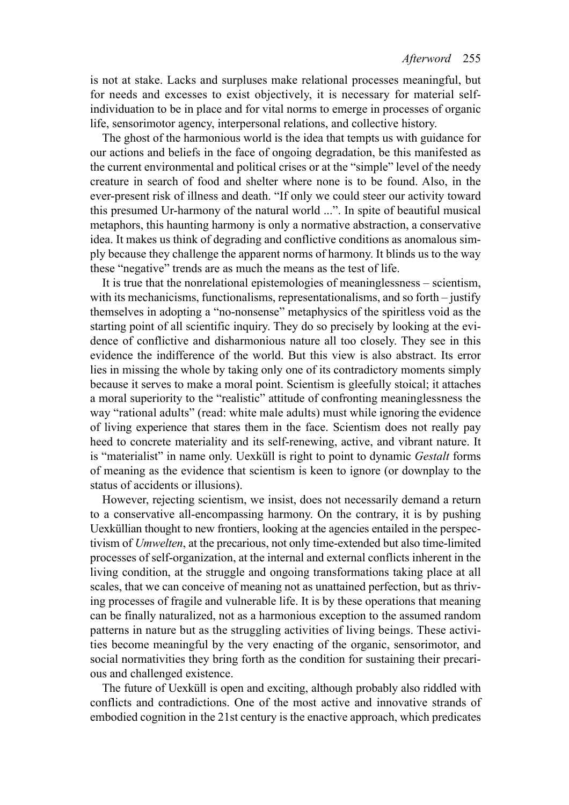is not at stake. Lacks and surpluses make relational processes meaningful, but for needs and excesses to exist objectively, it is necessary for material selfindividuation to be in place and for vital norms to emerge in processes of organic life, sensorimotor agency, interpersonal relations, and collective history.

 The ghost of the harmonious world is the idea that tempts us with guidance for our actions and beliefs in the face of ongoing degradation, be this manifested as the current environmental and political crises or at the "simple" level of the needy creature in search of food and shelter where none is to be found. Also, in the ever-present risk of illness and death. "If only we could steer our activity toward this presumed Ur-harmony of the natural world ...". In spite of beautiful musical metaphors, this haunting harmony is only a normative abstraction, a conservative idea. It makes us think of degrading and conflictive conditions as anomalous simply because they challenge the apparent norms of harmony. It blinds us to the way these "negative" trends are as much the means as the test of life.

 It is true that the nonrelational epistemologies of meaninglessness – scientism, with its mechanicisms, functionalisms, representationalisms, and so forth – justify themselves in adopting a "no-nonsense" metaphysics of the spiritless void as the starting point of all scientific inquiry. They do so precisely by looking at the evidence of conflictive and disharmonious nature all too closely. They see in this evidence the indifference of the world. But this view is also abstract. Its error lies in missing the whole by taking only one of its contradictory moments simply because it serves to make a moral point. Scientism is gleefully stoical; it attaches a moral superiority to the "realistic" attitude of confronting meaninglessness the way "rational adults" (read: white male adults) must while ignoring the evidence of living experience that stares them in the face. Scientism does not really pay heed to concrete materiality and its self-renewing, active, and vibrant nature. It is "materialist" in name only. Uexküll is right to point to dynamic *Gestalt* forms of meaning as the evidence that scientism is keen to ignore (or downplay to the status of accidents or illusions).

 However, rejecting scientism, we insist, does not necessarily demand a return to a conservative all-encompassing harmony. On the contrary, it is by pushing Uexküllian thought to new frontiers, looking at the agencies entailed in the perspectivism of *Umwelten*, at the precarious, not only time-extended but also time-limited processes of self-organization, at the internal and external conflicts inherent in the living condition, at the struggle and ongoing transformations taking place at all scales, that we can conceive of meaning not as unattained perfection, but as thriving processes of fragile and vulnerable life. It is by these operations that meaning can be finally naturalized, not as a harmonious exception to the assumed random patterns in nature but as the struggling activities of living beings. These activities become meaningful by the very enacting of the organic, sensorimotor, and social normativities they bring forth as the condition for sustaining their precarious and challenged existence.

 The future of Uexküll is open and exciting, although probably also riddled with conflicts and contradictions. One of the most active and innovative strands of embodied cognition in the 21st century is the enactive approach, which predicates